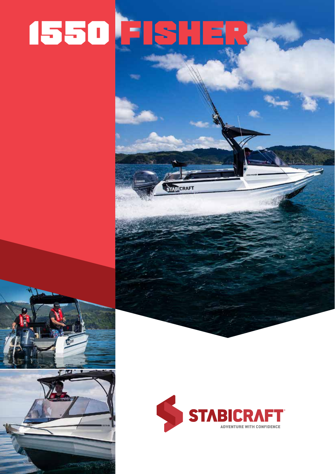# **ISSO FISHER**

**STARTCRAFT**